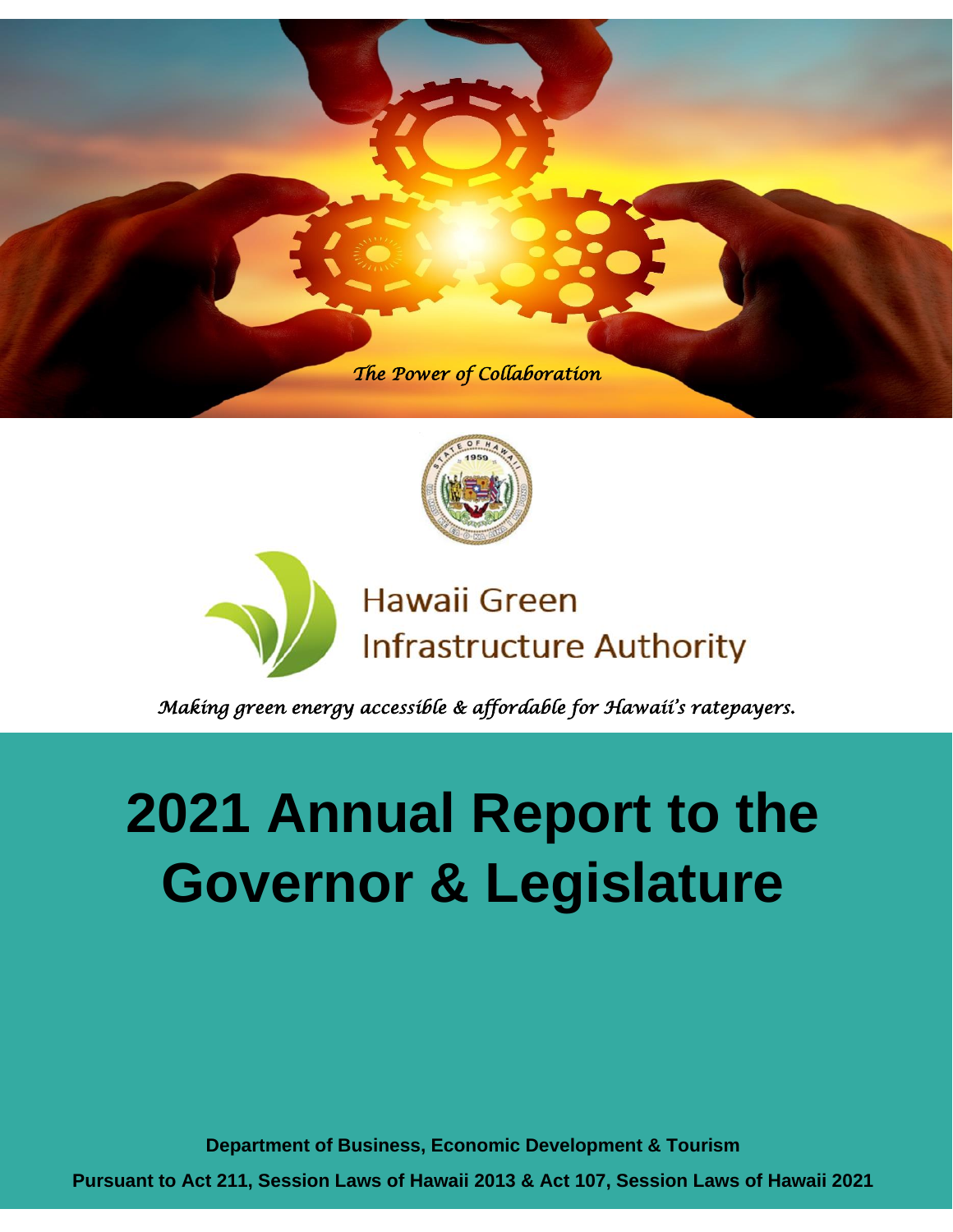





*Making green energy accessible & affordable for Hawaii's ratepayers.* 

# **2021 Annual Report to the Governor & Legislature**

**Department of Business, Economic Development & Tourism**

**Pursuant to Act 211, Session Laws of Hawaii 2013 & Act 107, Session Laws of Hawaii 2021**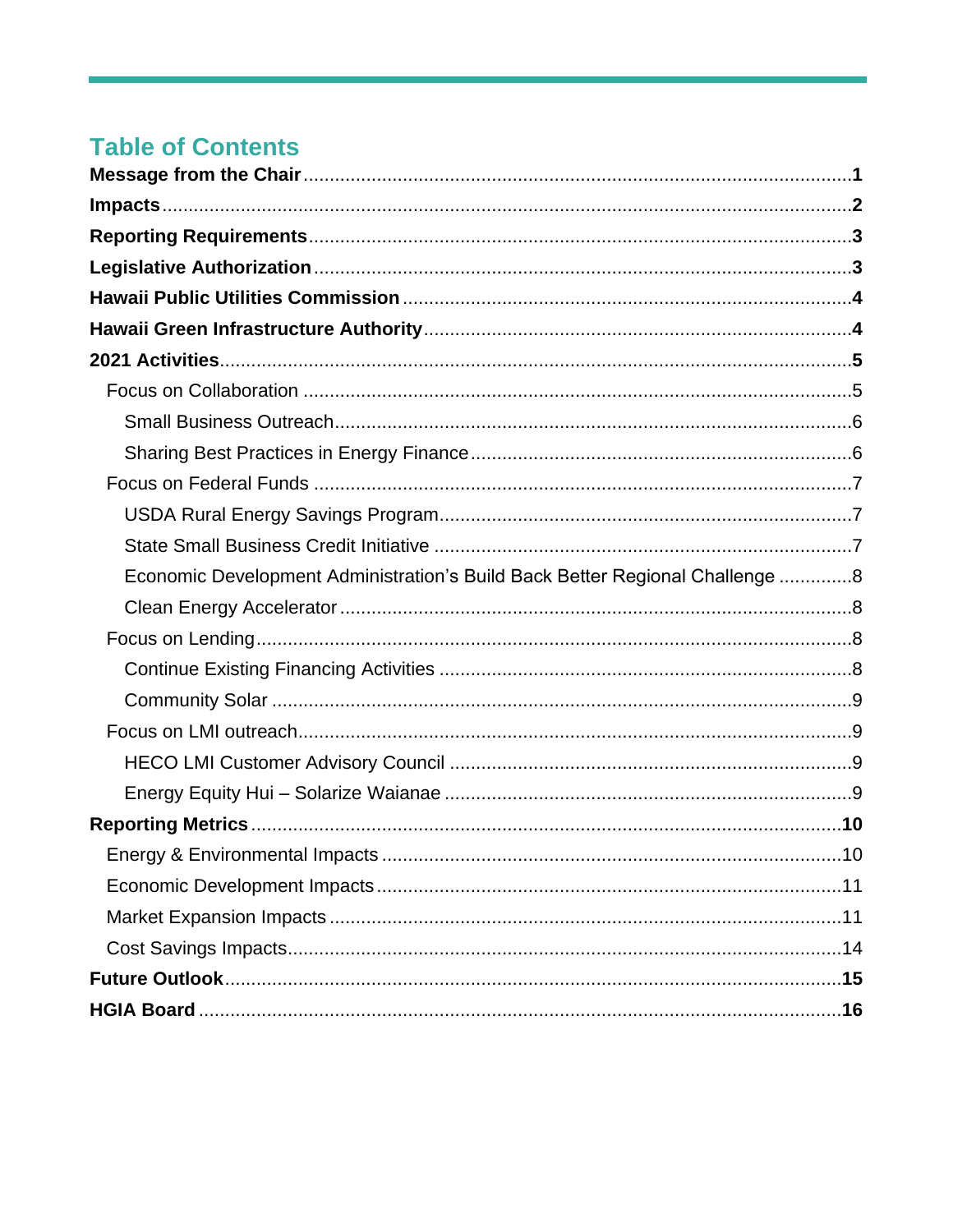### **Table of Contents**

| Economic Development Administration's Build Back Better Regional Challenge 8 |  |
|------------------------------------------------------------------------------|--|
|                                                                              |  |
|                                                                              |  |
|                                                                              |  |
|                                                                              |  |
|                                                                              |  |
|                                                                              |  |
|                                                                              |  |
|                                                                              |  |
|                                                                              |  |
|                                                                              |  |
|                                                                              |  |
|                                                                              |  |
|                                                                              |  |
|                                                                              |  |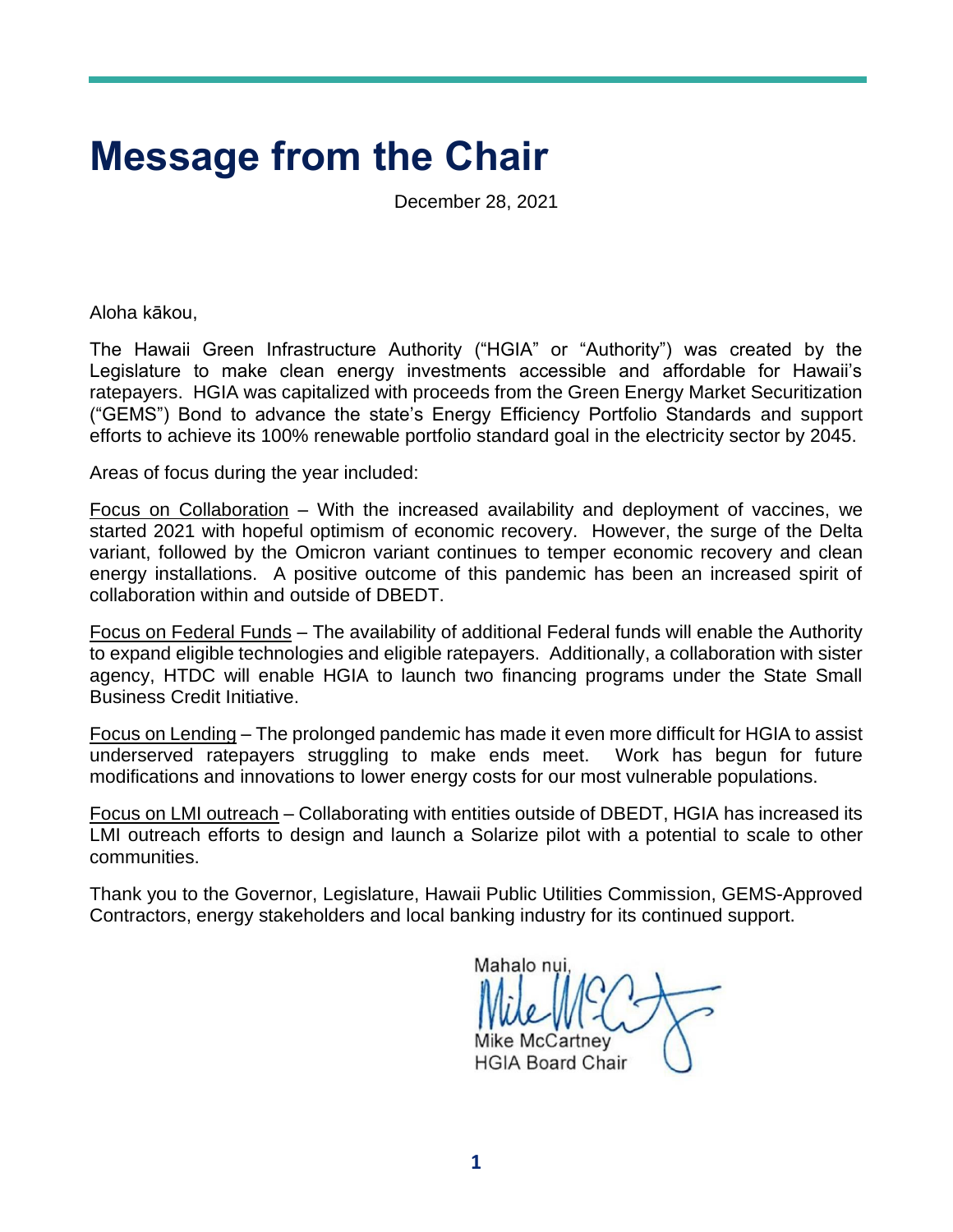## **Message from the Chair**

December 28, 2021

Aloha kākou,

The Hawaii Green Infrastructure Authority ("HGIA" or "Authority") was created by the Legislature to make clean energy investments accessible and affordable for Hawaii's ratepayers. HGIA was capitalized with proceeds from the Green Energy Market Securitization ("GEMS") Bond to advance the state's Energy Efficiency Portfolio Standards and support efforts to achieve its 100% renewable portfolio standard goal in the electricity sector by 2045.

Areas of focus during the year included:

Focus on Collaboration – With the increased availability and deployment of vaccines, we started 2021 with hopeful optimism of economic recovery. However, the surge of the Delta variant, followed by the Omicron variant continues to temper economic recovery and clean energy installations. A positive outcome of this pandemic has been an increased spirit of collaboration within and outside of DBEDT.

Focus on Federal Funds – The availability of additional Federal funds will enable the Authority to expand eligible technologies and eligible ratepayers. Additionally, a collaboration with sister agency, HTDC will enable HGIA to launch two financing programs under the State Small Business Credit Initiative.

Focus on Lending – The prolonged pandemic has made it even more difficult for HGIA to assist underserved ratepayers struggling to make ends meet. Work has begun for future modifications and innovations to lower energy costs for our most vulnerable populations.

Focus on LMI outreach – Collaborating with entities outside of DBEDT, HGIA has increased its LMI outreach efforts to design and launch a Solarize pilot with a potential to scale to other communities.

Thank you to the Governor, Legislature, Hawaii Public Utilities Commission, GEMS-Approved Contractors, energy stakeholders and local banking industry for its continued support.

Mahalo nui Mike McCartney **HGIA Board Chair**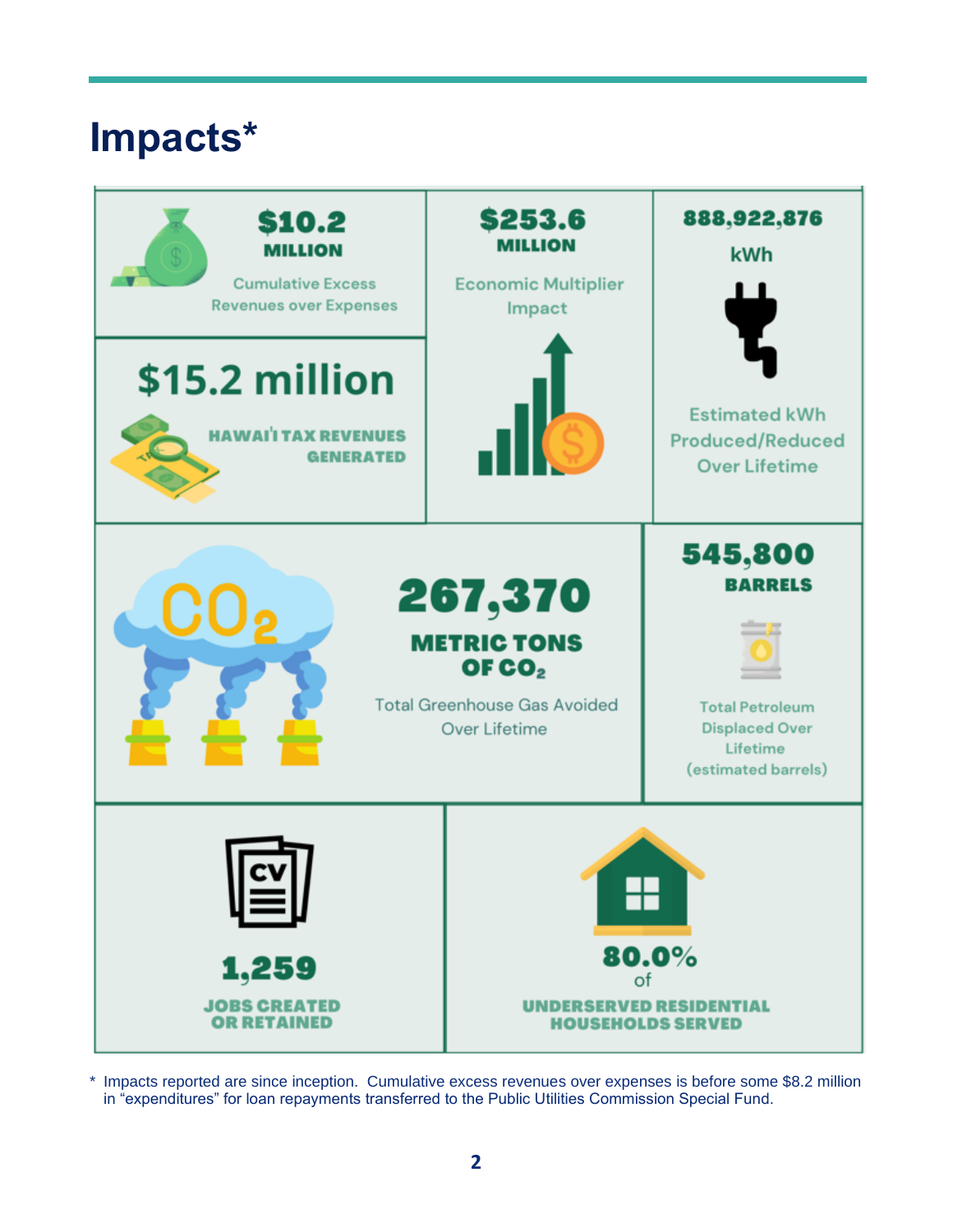## **Impacts\***



\* Impacts reported are since inception. Cumulative excess revenues over expenses is before some \$8.2 million in "expenditures" for loan repayments transferred to the Public Utilities Commission Special Fund.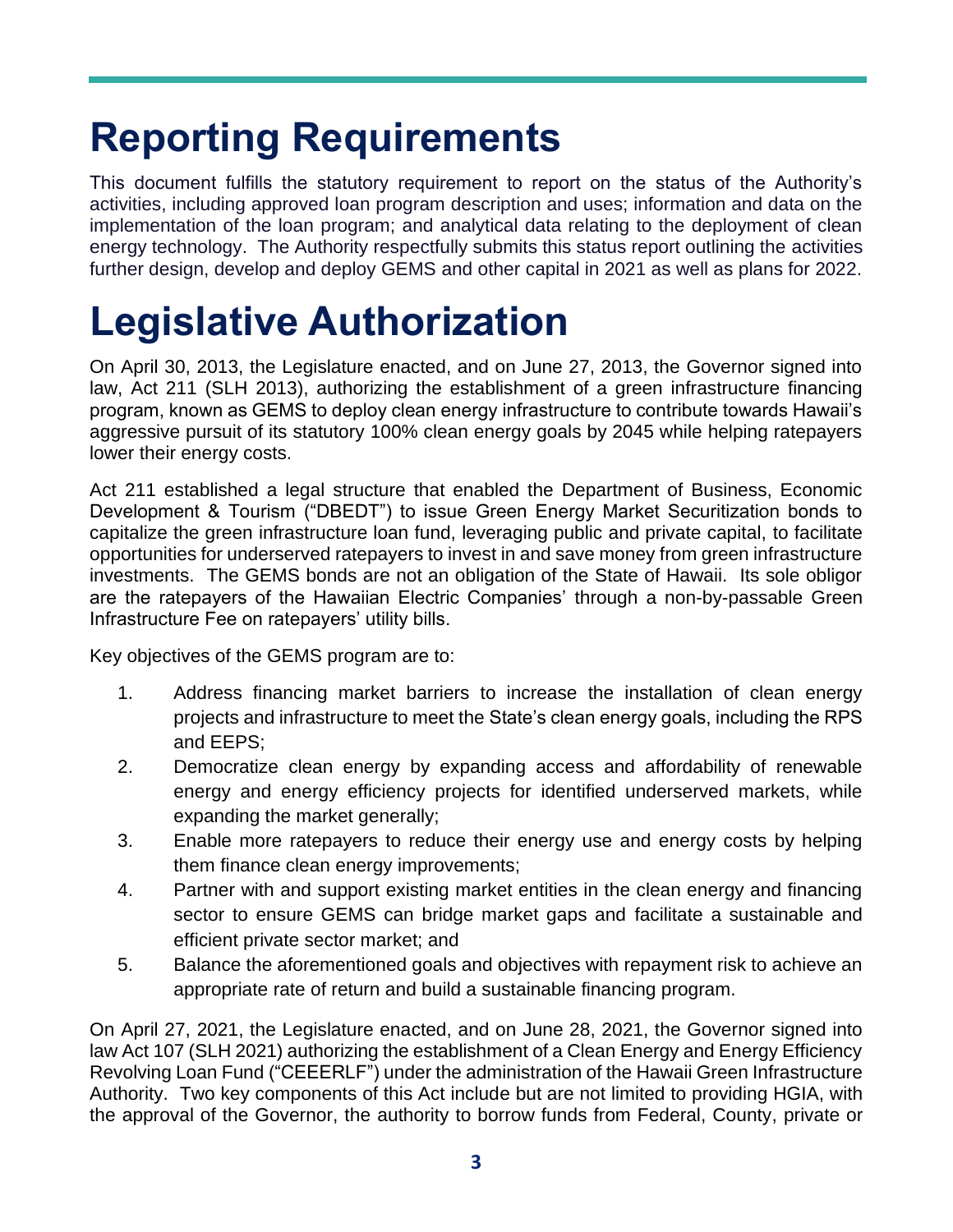## **Reporting Requirements**

This document fulfills the statutory requirement to report on the status of the Authority's activities, including approved loan program description and uses; information and data on the implementation of the loan program; and analytical data relating to the deployment of clean energy technology. The Authority respectfully submits this status report outlining the activities further design, develop and deploy GEMS and other capital in 2021 as well as plans for 2022.

## **Legislative Authorization**

On April 30, 2013, the Legislature enacted, and on June 27, 2013, the Governor signed into law, Act 211 (SLH 2013), authorizing the establishment of a green infrastructure financing program, known as GEMS to deploy clean energy infrastructure to contribute towards Hawaii's aggressive pursuit of its statutory 100% clean energy goals by 2045 while helping ratepayers lower their energy costs.

Act 211 established a legal structure that enabled the Department of Business, Economic Development & Tourism ("DBEDT") to issue Green Energy Market Securitization bonds to capitalize the green infrastructure loan fund, leveraging public and private capital, to facilitate opportunities for underserved ratepayers to invest in and save money from green infrastructure investments. The GEMS bonds are not an obligation of the State of Hawaii. Its sole obligor are the ratepayers of the Hawaiian Electric Companies' through a non-by-passable Green Infrastructure Fee on ratepayers' utility bills.

Key objectives of the GEMS program are to:

- 1. Address financing market barriers to increase the installation of clean energy projects and infrastructure to meet the State's clean energy goals, including the RPS and EEPS;
- 2. Democratize clean energy by expanding access and affordability of renewable energy and energy efficiency projects for identified underserved markets, while expanding the market generally;
- 3. Enable more ratepayers to reduce their energy use and energy costs by helping them finance clean energy improvements;
- 4. Partner with and support existing market entities in the clean energy and financing sector to ensure GEMS can bridge market gaps and facilitate a sustainable and efficient private sector market; and
- 5. Balance the aforementioned goals and objectives with repayment risk to achieve an appropriate rate of return and build a sustainable financing program.

On April 27, 2021, the Legislature enacted, and on June 28, 2021, the Governor signed into law Act 107 (SLH 2021) authorizing the establishment of a Clean Energy and Energy Efficiency Revolving Loan Fund ("CEEERLF") under the administration of the Hawaii Green Infrastructure Authority. Two key components of this Act include but are not limited to providing HGIA, with the approval of the Governor, the authority to borrow funds from Federal, County, private or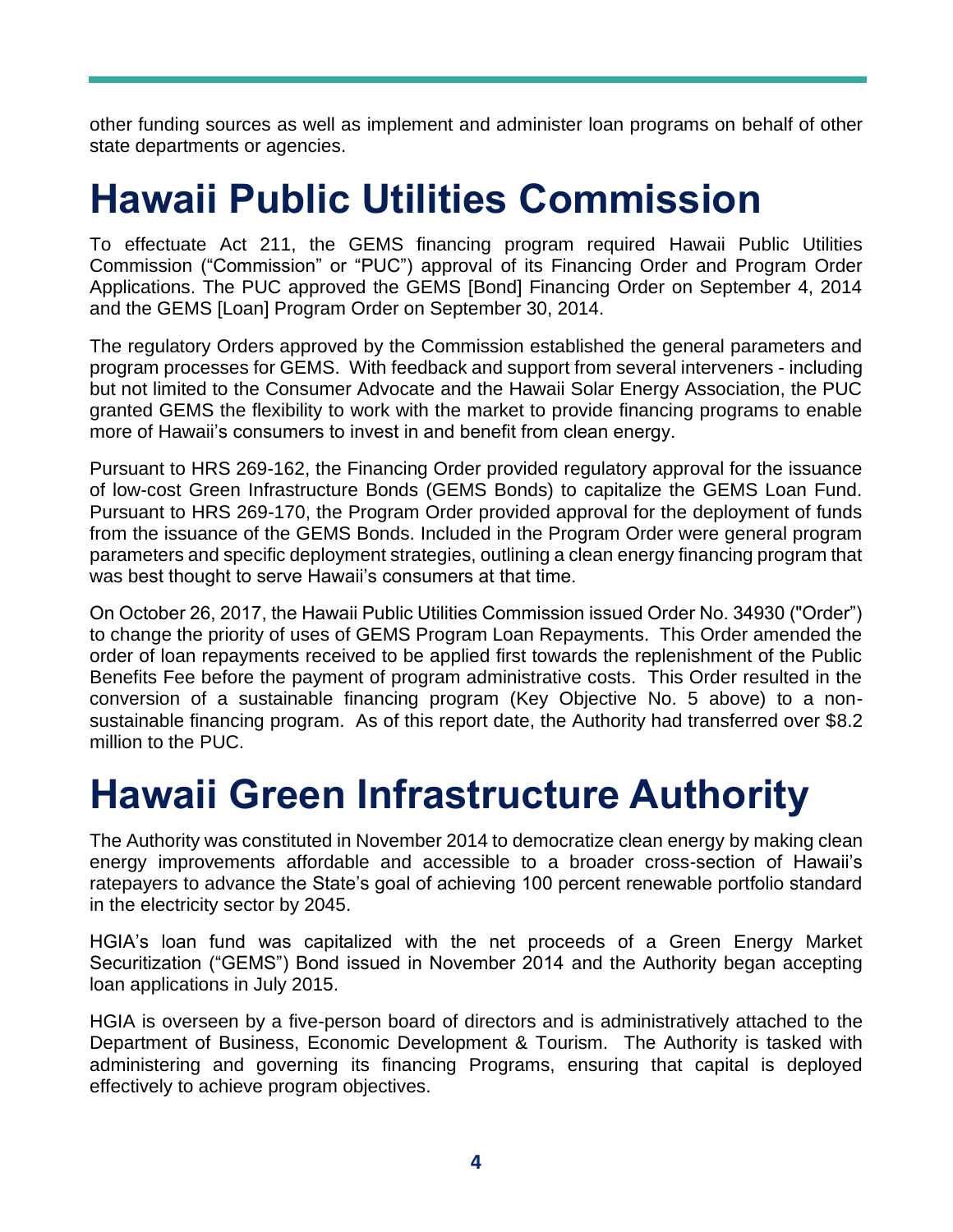other funding sources as well as implement and administer loan programs on behalf of other state departments or agencies.

## **Hawaii Public Utilities Commission**

To effectuate Act 211, the GEMS financing program required Hawaii Public Utilities Commission ("Commission" or "PUC") approval of its Financing Order and Program Order Applications. The PUC approved the GEMS [Bond] Financing Order on September 4, 2014 and the GEMS [Loan] Program Order on September 30, 2014.

The regulatory Orders approved by the Commission established the general parameters and program processes for GEMS. With feedback and support from several interveners - including but not limited to the Consumer Advocate and the Hawaii Solar Energy Association, the PUC granted GEMS the flexibility to work with the market to provide financing programs to enable more of Hawaii's consumers to invest in and benefit from clean energy.

Pursuant to HRS 269-162, the Financing Order provided regulatory approval for the issuance of low-cost Green Infrastructure Bonds (GEMS Bonds) to capitalize the GEMS Loan Fund. Pursuant to HRS 269-170, the Program Order provided approval for the deployment of funds from the issuance of the GEMS Bonds. Included in the Program Order were general program parameters and specific deployment strategies, outlining a clean energy financing program that was best thought to serve Hawaii's consumers at that time.

On October 26, 2017, the Hawaii Public Utilities Commission issued Order No. 34930 ("Order") to change the priority of uses of GEMS Program Loan Repayments. This Order amended the order of loan repayments received to be applied first towards the replenishment of the Public Benefits Fee before the payment of program administrative costs. This Order resulted in the conversion of a sustainable financing program (Key Objective No. 5 above) to a nonsustainable financing program. As of this report date, the Authority had transferred over \$8.2 million to the PUC.

## **Hawaii Green Infrastructure Authority**

The Authority was constituted in November 2014 to democratize clean energy by making clean energy improvements affordable and accessible to a broader cross-section of Hawaii's ratepayers to advance the State's goal of achieving 100 percent renewable portfolio standard in the electricity sector by 2045.

HGIA's loan fund was capitalized with the net proceeds of a Green Energy Market Securitization ("GEMS") Bond issued in November 2014 and the Authority began accepting loan applications in July 2015.

HGIA is overseen by a five-person board of directors and is administratively attached to the Department of Business, Economic Development & Tourism. The Authority is tasked with administering and governing its financing Programs, ensuring that capital is deployed effectively to achieve program objectives.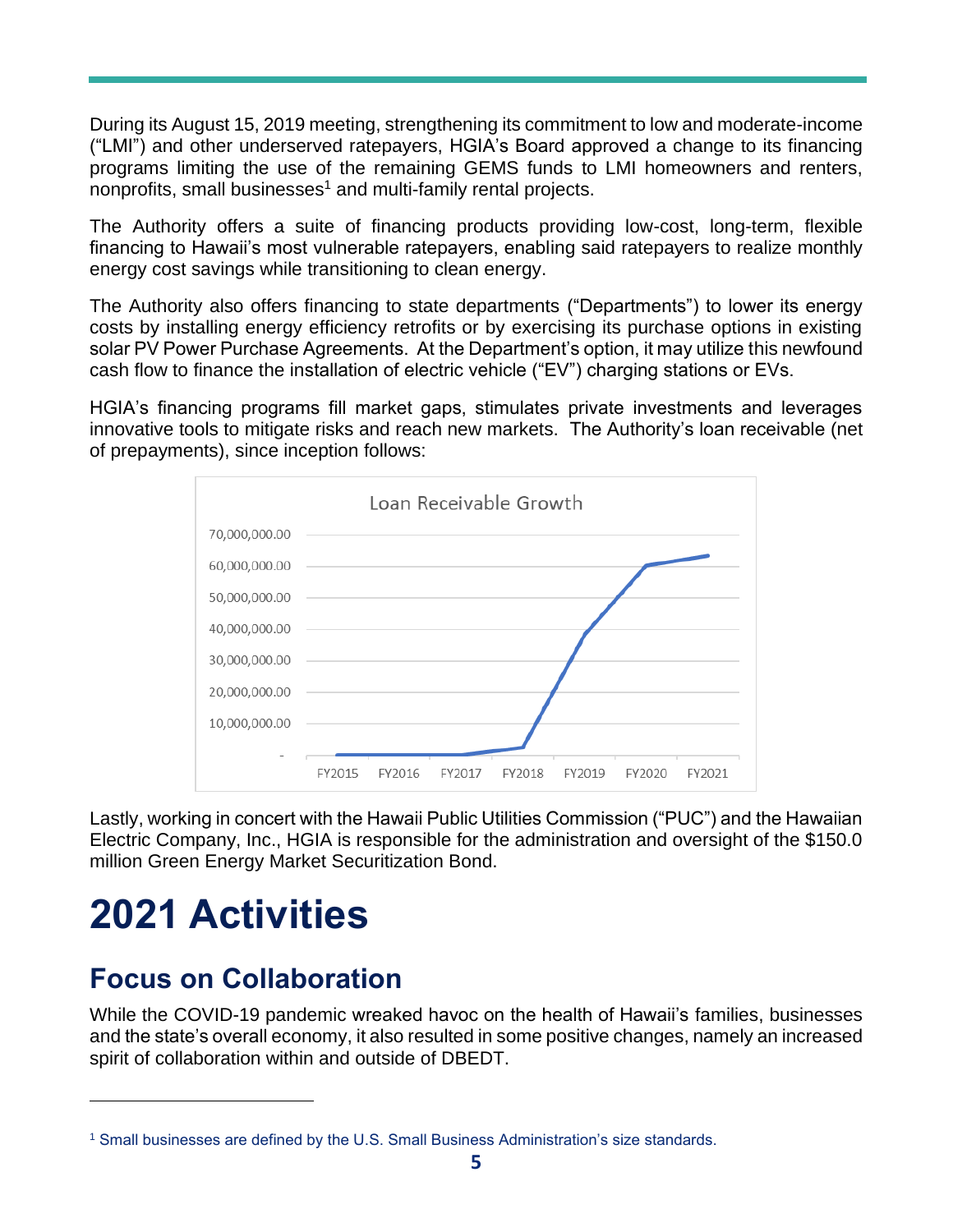During its August 15, 2019 meeting, strengthening its commitment to low and moderate-income ("LMI") and other underserved ratepayers, HGIA's Board approved a change to its financing programs limiting the use of the remaining GEMS funds to LMI homeowners and renters, nonprofits, small businesses<sup>1</sup> and multi-family rental projects.

The Authority offers a suite of financing products providing low-cost, long-term, flexible financing to Hawaii's most vulnerable ratepayers, enabling said ratepayers to realize monthly energy cost savings while transitioning to clean energy.

The Authority also offers financing to state departments ("Departments") to lower its energy costs by installing energy efficiency retrofits or by exercising its purchase options in existing solar PV Power Purchase Agreements. At the Department's option, it may utilize this newfound cash flow to finance the installation of electric vehicle ("EV") charging stations or EVs.

HGIA's financing programs fill market gaps, stimulates private investments and leverages innovative tools to mitigate risks and reach new markets. The Authority's loan receivable (net of prepayments), since inception follows:



Lastly, working in concert with the Hawaii Public Utilities Commission ("PUC") and the Hawaiian Electric Company, Inc., HGIA is responsible for the administration and oversight of the \$150.0 million Green Energy Market Securitization Bond.

## **2021 Activities**

### **Focus on Collaboration**

While the COVID-19 pandemic wreaked havoc on the health of Hawaii's families, businesses and the state's overall economy, it also resulted in some positive changes, namely an increased spirit of collaboration within and outside of DBEDT.

<sup>1</sup> Small businesses are defined by the U.S. Small Business Administration's size standards.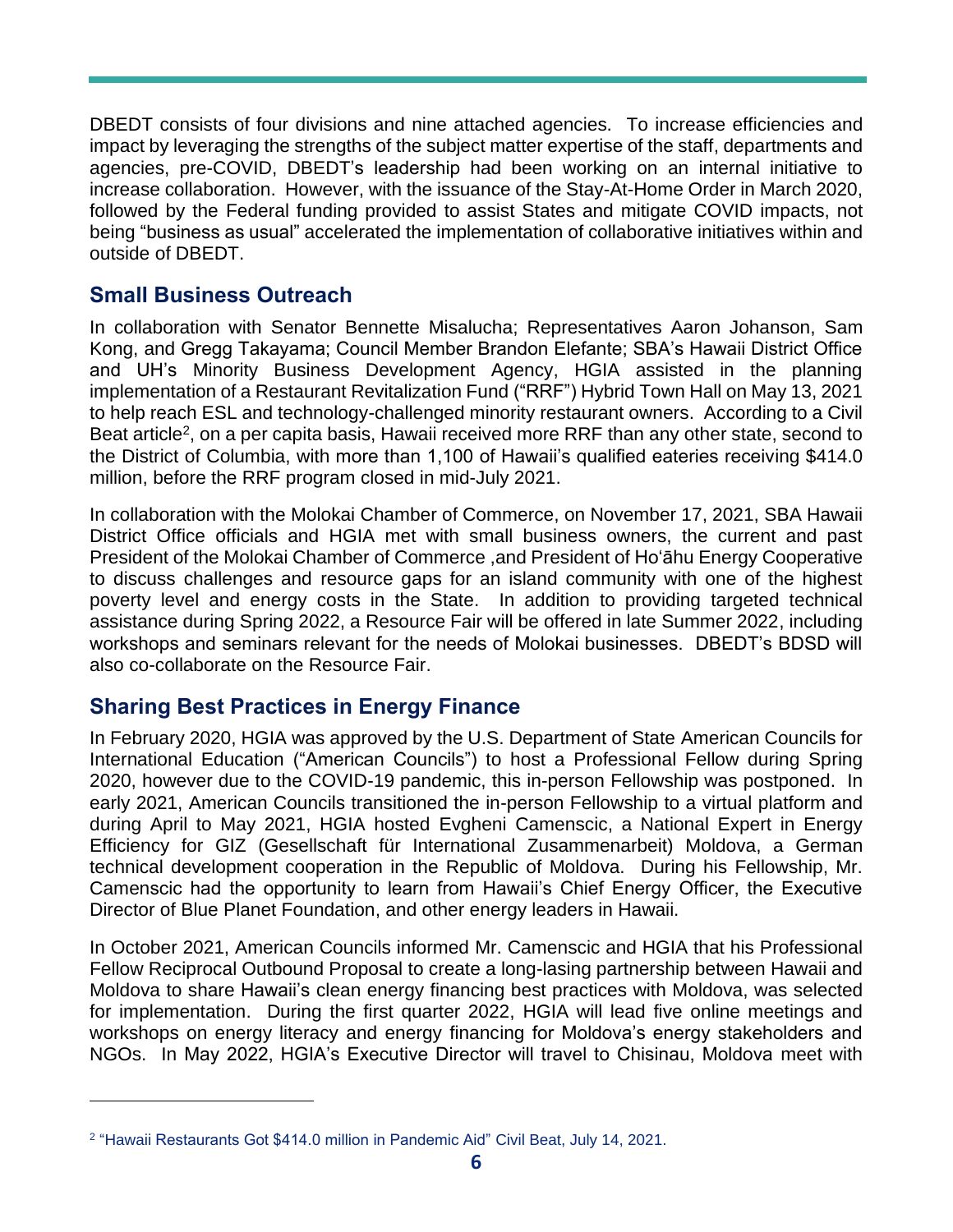DBEDT consists of four divisions and nine attached agencies. To increase efficiencies and impact by leveraging the strengths of the subject matter expertise of the staff, departments and agencies, pre-COVID, DBEDT's leadership had been working on an internal initiative to increase collaboration. However, with the issuance of the Stay-At-Home Order in March 2020, followed by the Federal funding provided to assist States and mitigate COVID impacts, not being "business as usual" accelerated the implementation of collaborative initiatives within and outside of DBEDT.

#### **Small Business Outreach**

In collaboration with Senator Bennette Misalucha; Representatives Aaron Johanson, Sam Kong, and Gregg Takayama; Council Member Brandon Elefante; SBA's Hawaii District Office and UH's Minority Business Development Agency, HGIA assisted in the planning implementation of a Restaurant Revitalization Fund ("RRF") Hybrid Town Hall on May 13, 2021 to help reach ESL and technology-challenged minority restaurant owners. According to a Civil Beat article<sup>2</sup>, on a per capita basis, Hawaii received more RRF than any other state, second to the District of Columbia, with more than 1,100 of Hawaii's qualified eateries receiving \$414.0 million, before the RRF program closed in mid-July 2021.

In collaboration with the Molokai Chamber of Commerce, on November 17, 2021, SBA Hawaii District Office officials and HGIA met with small business owners, the current and past President of the Molokai Chamber of Commerce ,and President of Ho'āhu Energy Cooperative to discuss challenges and resource gaps for an island community with one of the highest poverty level and energy costs in the State. In addition to providing targeted technical assistance during Spring 2022, a Resource Fair will be offered in late Summer 2022, including workshops and seminars relevant for the needs of Molokai businesses. DBEDT's BDSD will also co-collaborate on the Resource Fair.

#### **Sharing Best Practices in Energy Finance**

In February 2020, HGIA was approved by the U.S. Department of State American Councils for International Education ("American Councils") to host a Professional Fellow during Spring 2020, however due to the COVID-19 pandemic, this in-person Fellowship was postponed. In early 2021, American Councils transitioned the in-person Fellowship to a virtual platform and during April to May 2021, HGIA hosted Evgheni Camenscic, a National Expert in Energy Efficiency for GIZ (Gesellschaft für International Zusammenarbeit) Moldova, a German technical development cooperation in the Republic of Moldova. During his Fellowship, Mr. Camenscic had the opportunity to learn from Hawaii's Chief Energy Officer, the Executive Director of Blue Planet Foundation, and other energy leaders in Hawaii.

In October 2021, American Councils informed Mr. Camenscic and HGIA that his Professional Fellow Reciprocal Outbound Proposal to create a long-lasing partnership between Hawaii and Moldova to share Hawaii's clean energy financing best practices with Moldova, was selected for implementation. During the first quarter 2022, HGIA will lead five online meetings and workshops on energy literacy and energy financing for Moldova's energy stakeholders and NGOs. In May 2022, HGIA's Executive Director will travel to Chisinau, Moldova meet with

<sup>2</sup> "Hawaii Restaurants Got \$414.0 million in Pandemic Aid" Civil Beat, July 14, 2021.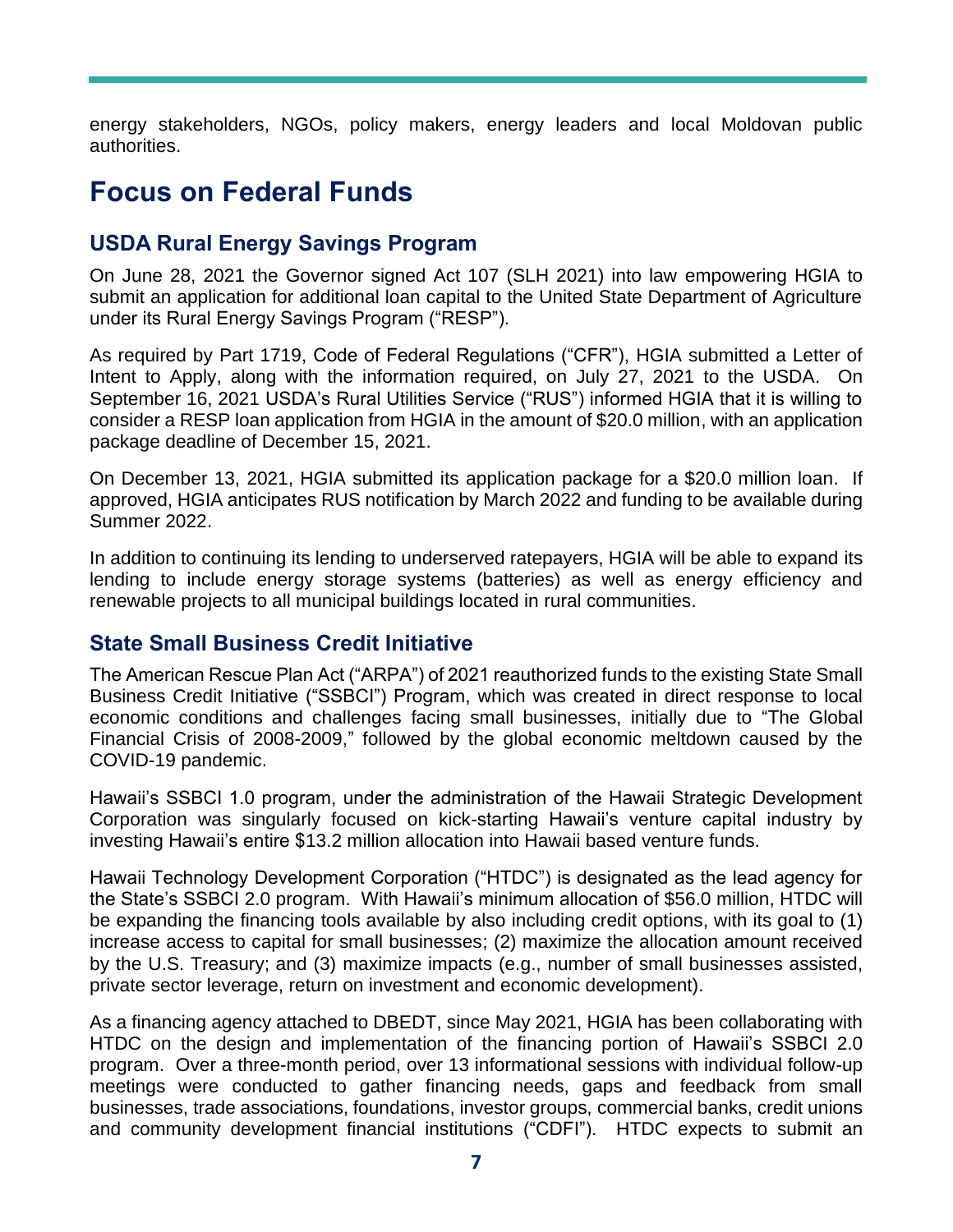energy stakeholders, NGOs, policy makers, energy leaders and local Moldovan public authorities.

### **Focus on Federal Funds**

#### **USDA Rural Energy Savings Program**

On June 28, 2021 the Governor signed Act 107 (SLH 2021) into law empowering HGIA to submit an application for additional loan capital to the United State Department of Agriculture under its Rural Energy Savings Program ("RESP").

As required by Part 1719, Code of Federal Regulations ("CFR"), HGIA submitted a Letter of Intent to Apply, along with the information required, on July 27, 2021 to the USDA. On September 16, 2021 USDA's Rural Utilities Service ("RUS") informed HGIA that it is willing to consider a RESP loan application from HGIA in the amount of \$20.0 million, with an application package deadline of December 15, 2021.

On December 13, 2021, HGIA submitted its application package for a \$20.0 million loan. If approved, HGIA anticipates RUS notification by March 2022 and funding to be available during Summer 2022.

In addition to continuing its lending to underserved ratepayers, HGIA will be able to expand its lending to include energy storage systems (batteries) as well as energy efficiency and renewable projects to all municipal buildings located in rural communities.

#### **State Small Business Credit Initiative**

The American Rescue Plan Act ("ARPA") of 2021 reauthorized funds to the existing State Small Business Credit Initiative ("SSBCI") Program, which was created in direct response to local economic conditions and challenges facing small businesses, initially due to "The Global Financial Crisis of 2008-2009," followed by the global economic meltdown caused by the COVID-19 pandemic.

Hawaii's SSBCI 1.0 program, under the administration of the Hawaii Strategic Development Corporation was singularly focused on kick-starting Hawaii's venture capital industry by investing Hawaii's entire \$13.2 million allocation into Hawaii based venture funds.

Hawaii Technology Development Corporation ("HTDC") is designated as the lead agency for the State's SSBCI 2.0 program. With Hawaii's minimum allocation of \$56.0 million, HTDC will be expanding the financing tools available by also including credit options, with its goal to (1) increase access to capital for small businesses; (2) maximize the allocation amount received by the U.S. Treasury; and (3) maximize impacts (e.g., number of small businesses assisted, private sector leverage, return on investment and economic development).

As a financing agency attached to DBEDT, since May 2021, HGIA has been collaborating with HTDC on the design and implementation of the financing portion of Hawaii's SSBCI 2.0 program. Over a three-month period, over 13 informational sessions with individual follow-up meetings were conducted to gather financing needs, gaps and feedback from small businesses, trade associations, foundations, investor groups, commercial banks, credit unions and community development financial institutions ("CDFI"). HTDC expects to submit an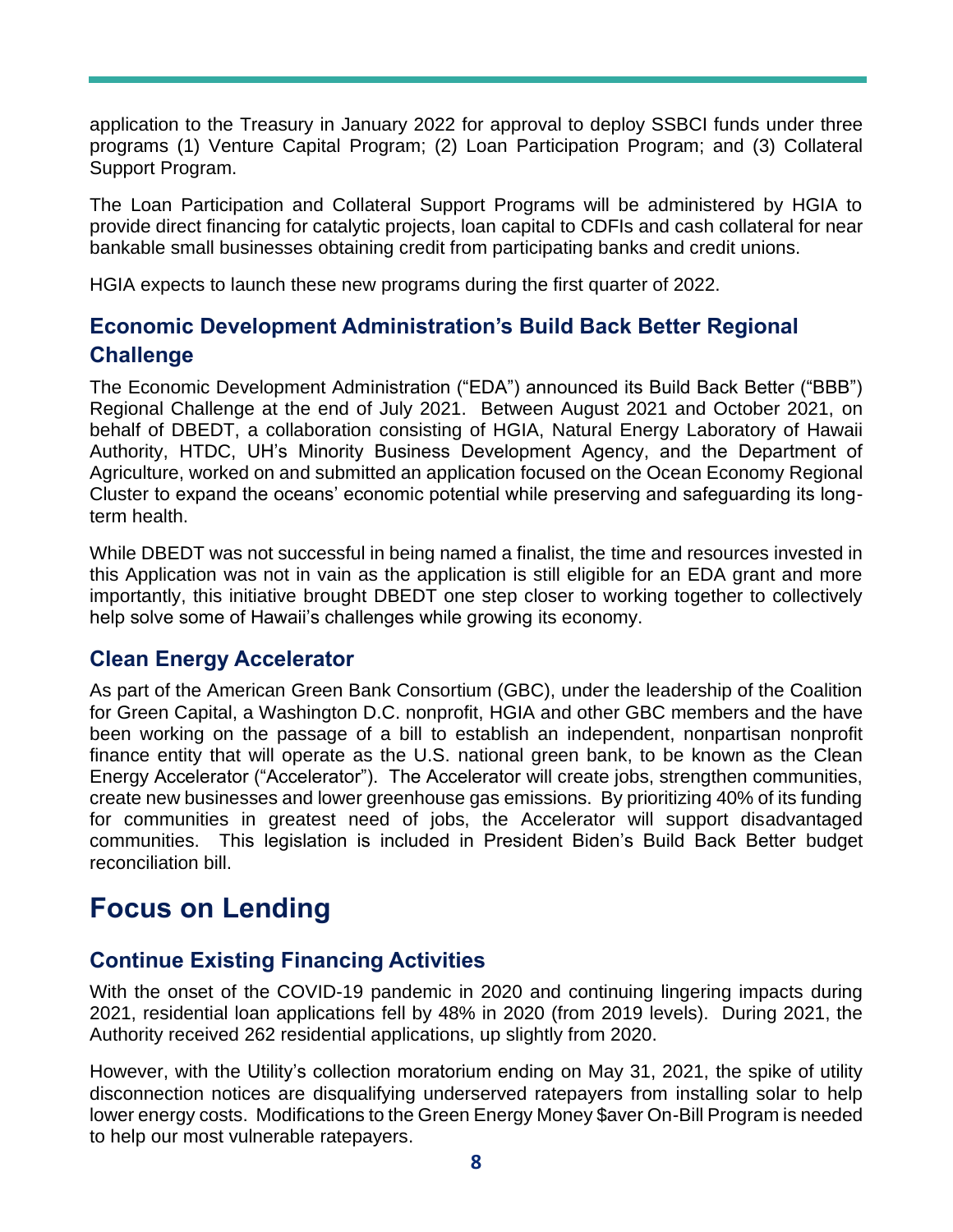application to the Treasury in January 2022 for approval to deploy SSBCI funds under three programs (1) Venture Capital Program; (2) Loan Participation Program; and (3) Collateral Support Program.

The Loan Participation and Collateral Support Programs will be administered by HGIA to provide direct financing for catalytic projects, loan capital to CDFIs and cash collateral for near bankable small businesses obtaining credit from participating banks and credit unions.

HGIA expects to launch these new programs during the first quarter of 2022.

#### **Economic Development Administration's Build Back Better Regional Challenge**

The Economic Development Administration ("EDA") announced its Build Back Better ("BBB") Regional Challenge at the end of July 2021. Between August 2021 and October 2021, on behalf of DBEDT, a collaboration consisting of HGIA, Natural Energy Laboratory of Hawaii Authority, HTDC, UH's Minority Business Development Agency, and the Department of Agriculture, worked on and submitted an application focused on the Ocean Economy Regional Cluster to expand the oceans' economic potential while preserving and safeguarding its longterm health.

While DBEDT was not successful in being named a finalist, the time and resources invested in this Application was not in vain as the application is still eligible for an EDA grant and more importantly, this initiative brought DBEDT one step closer to working together to collectively help solve some of Hawaii's challenges while growing its economy.

#### **Clean Energy Accelerator**

As part of the American Green Bank Consortium (GBC), under the leadership of the Coalition for Green Capital, a Washington D.C. nonprofit, HGIA and other GBC members and the have been working on the passage of a bill to establish an independent, nonpartisan nonprofit finance entity that will operate as the U.S. national green bank, to be known as the Clean Energy Accelerator ("Accelerator"). The Accelerator will create jobs, strengthen communities, create new businesses and lower greenhouse gas emissions. By prioritizing 40% of its funding for communities in greatest need of jobs, the Accelerator will support disadvantaged communities. This legislation is included in President Biden's Build Back Better budget reconciliation bill.

### **Focus on Lending**

#### **Continue Existing Financing Activities**

With the onset of the COVID-19 pandemic in 2020 and continuing lingering impacts during 2021, residential loan applications fell by 48% in 2020 (from 2019 levels). During 2021, the Authority received 262 residential applications, up slightly from 2020.

However, with the Utility's collection moratorium ending on May 31, 2021, the spike of utility disconnection notices are disqualifying underserved ratepayers from installing solar to help lower energy costs. Modifications to the Green Energy Money \$aver On-Bill Program is needed to help our most vulnerable ratepayers.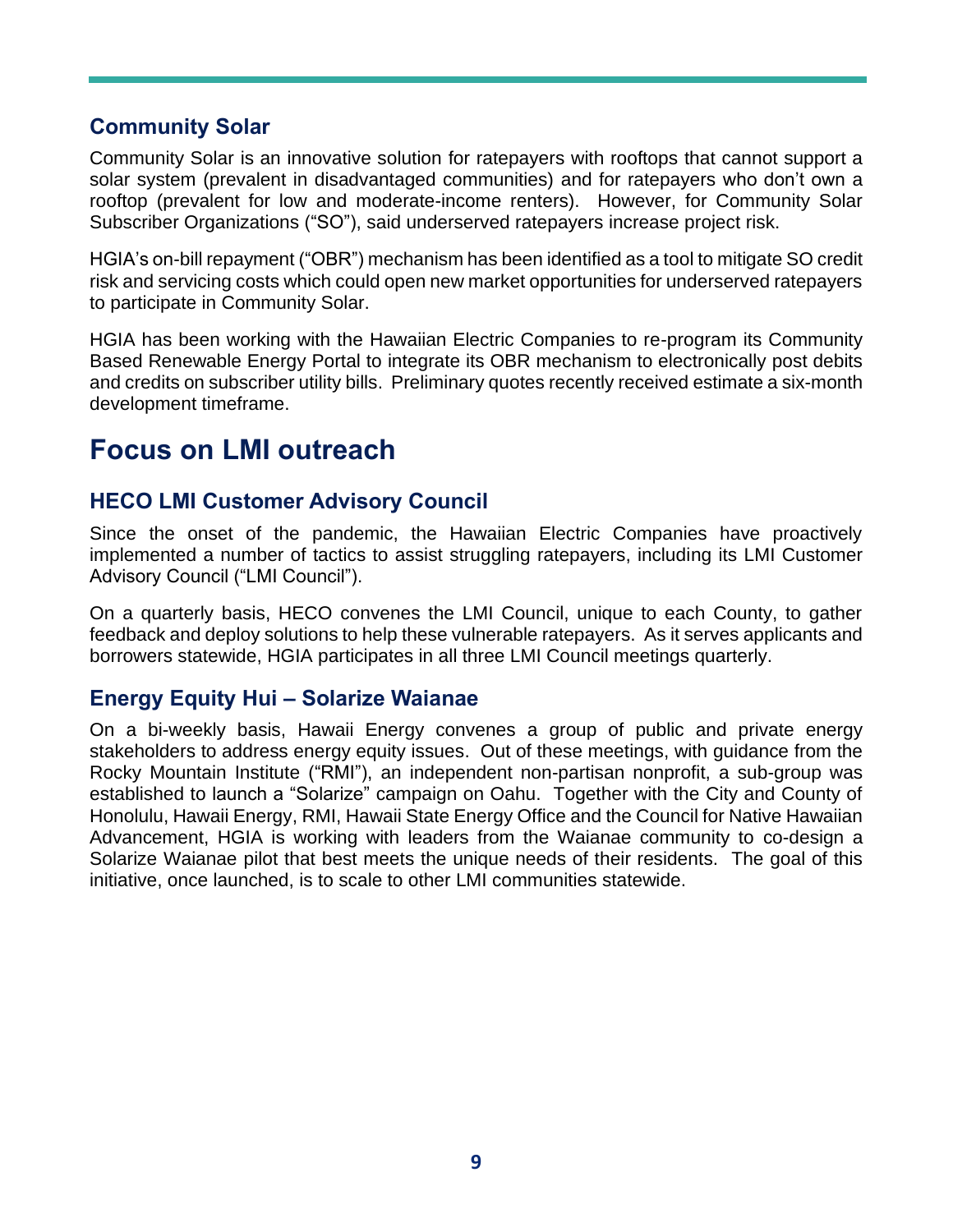#### **Community Solar**

Community Solar is an innovative solution for ratepayers with rooftops that cannot support a solar system (prevalent in disadvantaged communities) and for ratepayers who don't own a rooftop (prevalent for low and moderate-income renters). However, for Community Solar Subscriber Organizations ("SO"), said underserved ratepayers increase project risk.

HGIA's on-bill repayment ("OBR") mechanism has been identified as a tool to mitigate SO credit risk and servicing costs which could open new market opportunities for underserved ratepayers to participate in Community Solar.

HGIA has been working with the Hawaiian Electric Companies to re-program its Community Based Renewable Energy Portal to integrate its OBR mechanism to electronically post debits and credits on subscriber utility bills. Preliminary quotes recently received estimate a six-month development timeframe.

### **Focus on LMI outreach**

#### **HECO LMI Customer Advisory Council**

Since the onset of the pandemic, the Hawaiian Electric Companies have proactively implemented a number of tactics to assist struggling ratepayers, including its LMI Customer Advisory Council ("LMI Council").

On a quarterly basis, HECO convenes the LMI Council, unique to each County, to gather feedback and deploy solutions to help these vulnerable ratepayers. As it serves applicants and borrowers statewide, HGIA participates in all three LMI Council meetings quarterly.

#### **Energy Equity Hui – Solarize Waianae**

On a bi-weekly basis, Hawaii Energy convenes a group of public and private energy stakeholders to address energy equity issues. Out of these meetings, with guidance from the Rocky Mountain Institute ("RMI"), an independent non-partisan nonprofit, a sub-group was established to launch a "Solarize" campaign on Oahu. Together with the City and County of Honolulu, Hawaii Energy, RMI, Hawaii State Energy Office and the Council for Native Hawaiian Advancement, HGIA is working with leaders from the Waianae community to co-design a Solarize Waianae pilot that best meets the unique needs of their residents. The goal of this initiative, once launched, is to scale to other LMI communities statewide.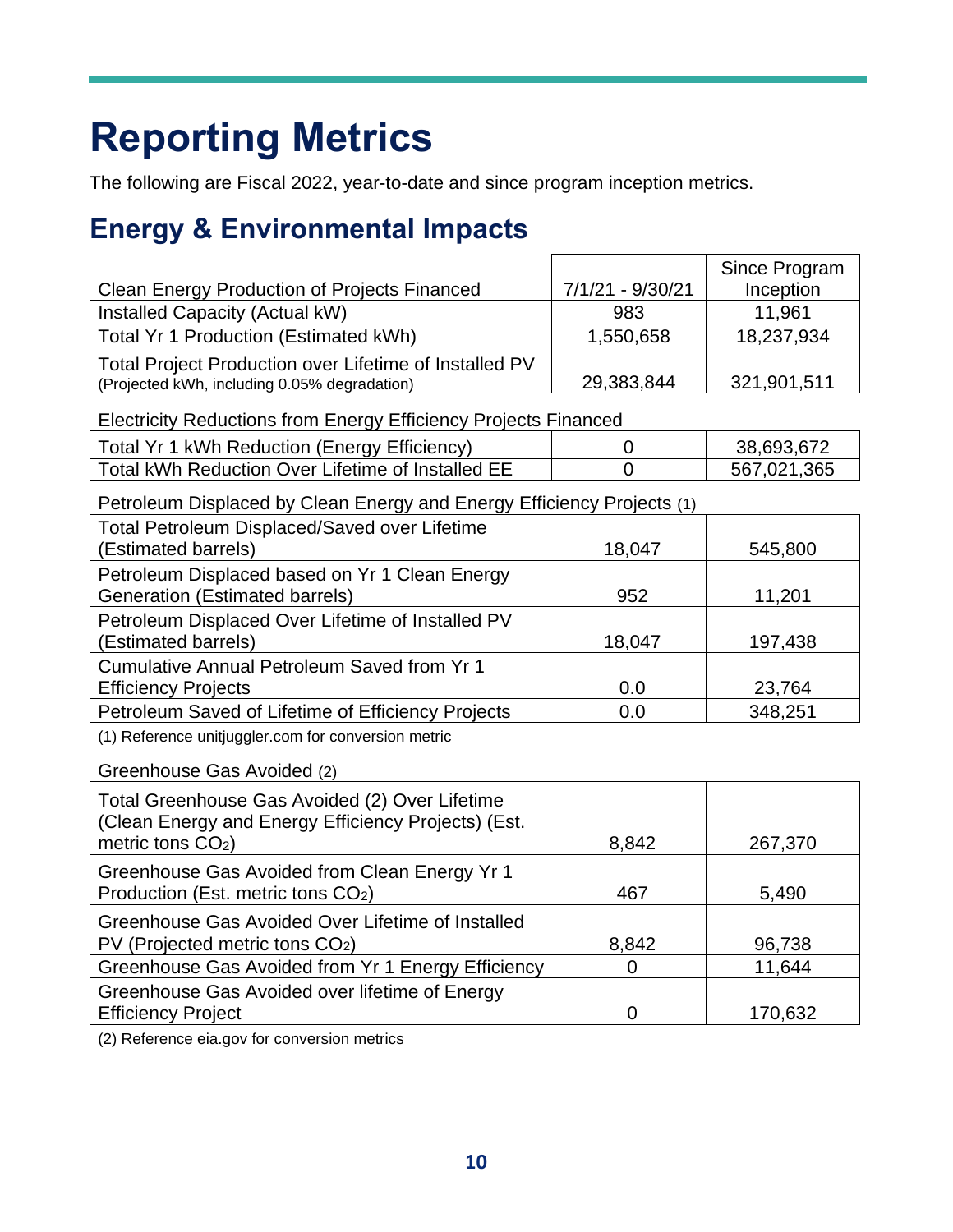## **Reporting Metrics**

The following are Fiscal 2022, year-to-date and since program inception metrics.

### **Energy & Environmental Impacts**

|                                                                                                        |                  | Since Program |
|--------------------------------------------------------------------------------------------------------|------------------|---------------|
| <b>Clean Energy Production of Projects Financed</b>                                                    | 7/1/21 - 9/30/21 | Inception     |
| Installed Capacity (Actual kW)                                                                         | 983              | 11,961        |
| Total Yr 1 Production (Estimated kWh)                                                                  | 1,550,658        | 18,237,934    |
| Total Project Production over Lifetime of Installed PV<br>(Projected kWh, including 0.05% degradation) | 29,383,844       | 321,901,511   |

Electricity Reductions from Energy Efficiency Projects Financed

| Total Yr 1 kWh Reduction (Energy Efficiency)      | 38,693,672  |
|---------------------------------------------------|-------------|
| Total kWh Reduction Over Lifetime of Installed EE | 567,021,365 |

Petroleum Displaced by Clean Energy and Energy Efficiency Projects (1)

| Total Petroleum Displaced/Saved over Lifetime<br>(Estimated barrels)                    | 18,047 | 545,800 |
|-----------------------------------------------------------------------------------------|--------|---------|
| Petroleum Displaced based on Yr 1 Clean Energy<br><b>Generation (Estimated barrels)</b> | 952    | 11,201  |
| Petroleum Displaced Over Lifetime of Installed PV<br>(Estimated barrels)                | 18,047 | 197,438 |
| Cumulative Annual Petroleum Saved from Yr 1<br><b>Efficiency Projects</b>               | 0.0    | 23,764  |
| Petroleum Saved of Lifetime of Efficiency Projects                                      | 0.0    | 348,251 |

(1) Reference unitjuggler.com for conversion metric

Greenhouse Gas Avoided (2)

| Total Greenhouse Gas Avoided (2) Over Lifetime<br>(Clean Energy and Energy Efficiency Projects) (Est.<br>metric tons $CO2$ ) | 8,842    | 267,370 |
|------------------------------------------------------------------------------------------------------------------------------|----------|---------|
| Greenhouse Gas Avoided from Clean Energy Yr 1<br>Production (Est. metric tons CO2)                                           | 467      | 5,490   |
| Greenhouse Gas Avoided Over Lifetime of Installed<br>PV (Projected metric tons CO2)                                          | 8,842    | 96,738  |
| Greenhouse Gas Avoided from Yr 1 Energy Efficiency                                                                           | $\Omega$ | 11,644  |
| Greenhouse Gas Avoided over lifetime of Energy<br><b>Efficiency Project</b>                                                  | $\Omega$ | 170,632 |

(2) Reference eia.gov for conversion metrics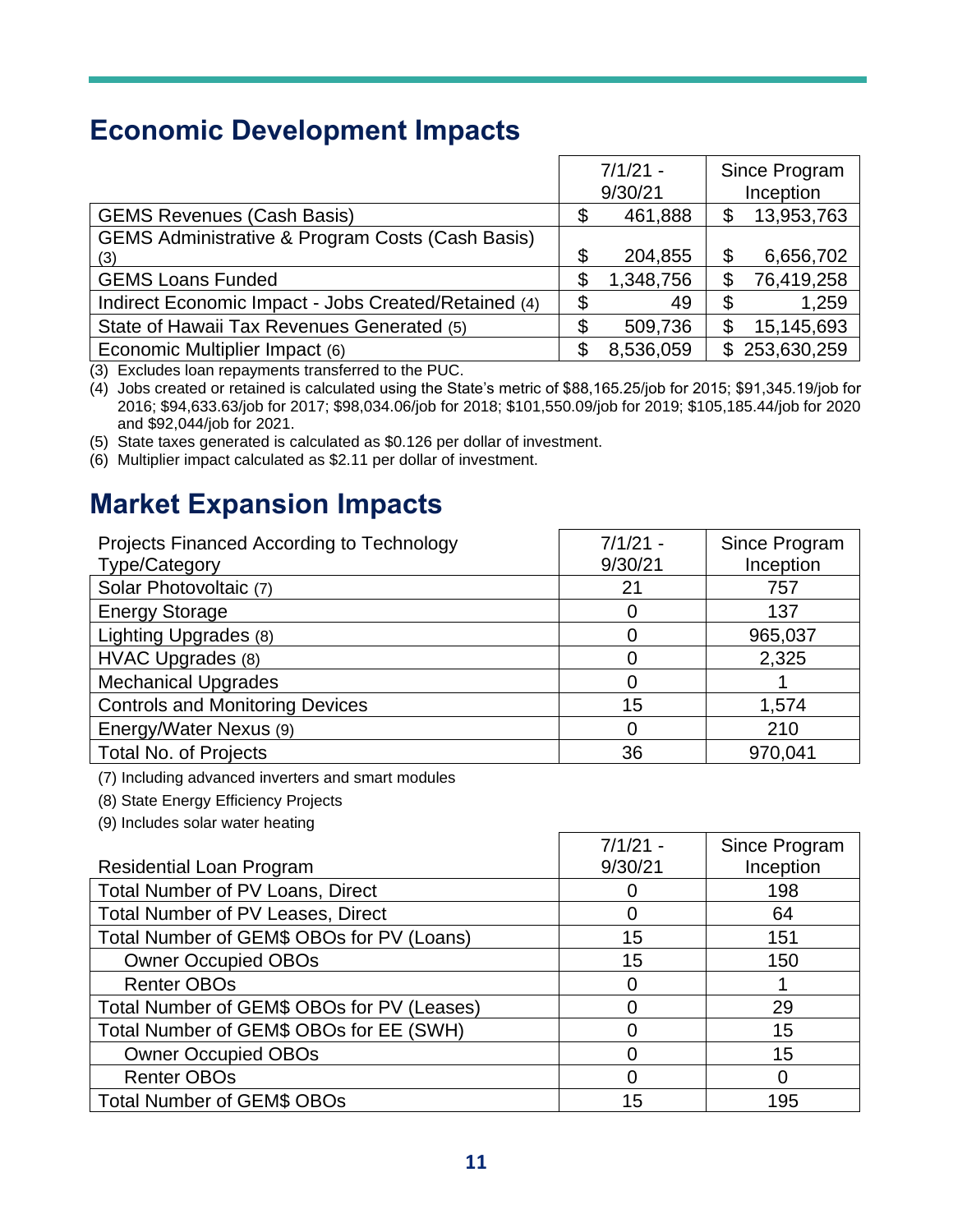### **Economic Development Impacts**

|                                                             |    | $7/1/21 -$<br>9/30/21 | Since Program<br>Inception |
|-------------------------------------------------------------|----|-----------------------|----------------------------|
| <b>GEMS Revenues (Cash Basis)</b>                           | \$ | 461,888               | \$<br>13,953,763           |
| <b>GEMS Administrative &amp; Program Costs (Cash Basis)</b> |    |                       |                            |
| (3)                                                         | \$ | 204,855               | \$<br>6,656,702            |
| <b>GEMS Loans Funded</b>                                    | \$ | 1,348,756             | \$<br>76,419,258           |
| Indirect Economic Impact - Jobs Created/Retained (4)        | S  | 49                    | \$<br>1,259                |
| State of Hawaii Tax Revenues Generated (5)                  |    | 509,736               | 15,145,693                 |
| Economic Multiplier Impact (6)                              |    | 8,536,059             | \$253,630,259              |

(3) Excludes loan repayments transferred to the PUC.

(4) Jobs created or retained is calculated using the State's metric of \$88,165.25/job for 2015; \$91,345.19/job for 2016; \$94,633.63/job for 2017; \$98,034.06/job for 2018; \$101,550.09/job for 2019; \$105,185.44/job for 2020 and \$92,044/job for 2021.

(5) State taxes generated is calculated as \$0.126 per dollar of investment.

(6) Multiplier impact calculated as \$2.11 per dollar of investment.

### **Market Expansion Impacts**

| Projects Financed According to Technology<br><b>Type/Category</b> | $7/1/21 -$<br>9/30/21 | Since Program<br>Inception |
|-------------------------------------------------------------------|-----------------------|----------------------------|
| Solar Photovoltaic (7)                                            | 21                    | 757                        |
| <b>Energy Storage</b>                                             |                       | 137                        |
| Lighting Upgrades (8)                                             |                       | 965,037                    |
| HVAC Upgrades (8)                                                 |                       | 2,325                      |
| <b>Mechanical Upgrades</b>                                        |                       |                            |
| <b>Controls and Monitoring Devices</b>                            | 15                    | 1,574                      |
| Energy/Water Nexus (9)                                            | 0                     | 210                        |
| <b>Total No. of Projects</b>                                      | 36                    | 970,041                    |

(7) Including advanced inverters and smart modules

(8) State Energy Efficiency Projects

(9) Includes solar water heating

|                                            | $7/1/21 -$ | Since Program |
|--------------------------------------------|------------|---------------|
| <b>Residential Loan Program</b>            | 9/30/21    | Inception     |
| Total Number of PV Loans, Direct           |            | 198           |
| Total Number of PV Leases, Direct          |            | 64            |
| Total Number of GEM\$ OBOs for PV (Loans)  | 15         | 151           |
| <b>Owner Occupied OBOs</b>                 | 15         | 150           |
| <b>Renter OBOs</b>                         | 0          |               |
| Total Number of GEM\$ OBOs for PV (Leases) |            | 29            |
| Total Number of GEM\$ OBOs for EE (SWH)    |            | 15            |
| <b>Owner Occupied OBOs</b>                 |            | 15            |
| <b>Renter OBOs</b>                         |            |               |
| <b>Total Number of GEM\$ OBOs</b>          | 15         | 195           |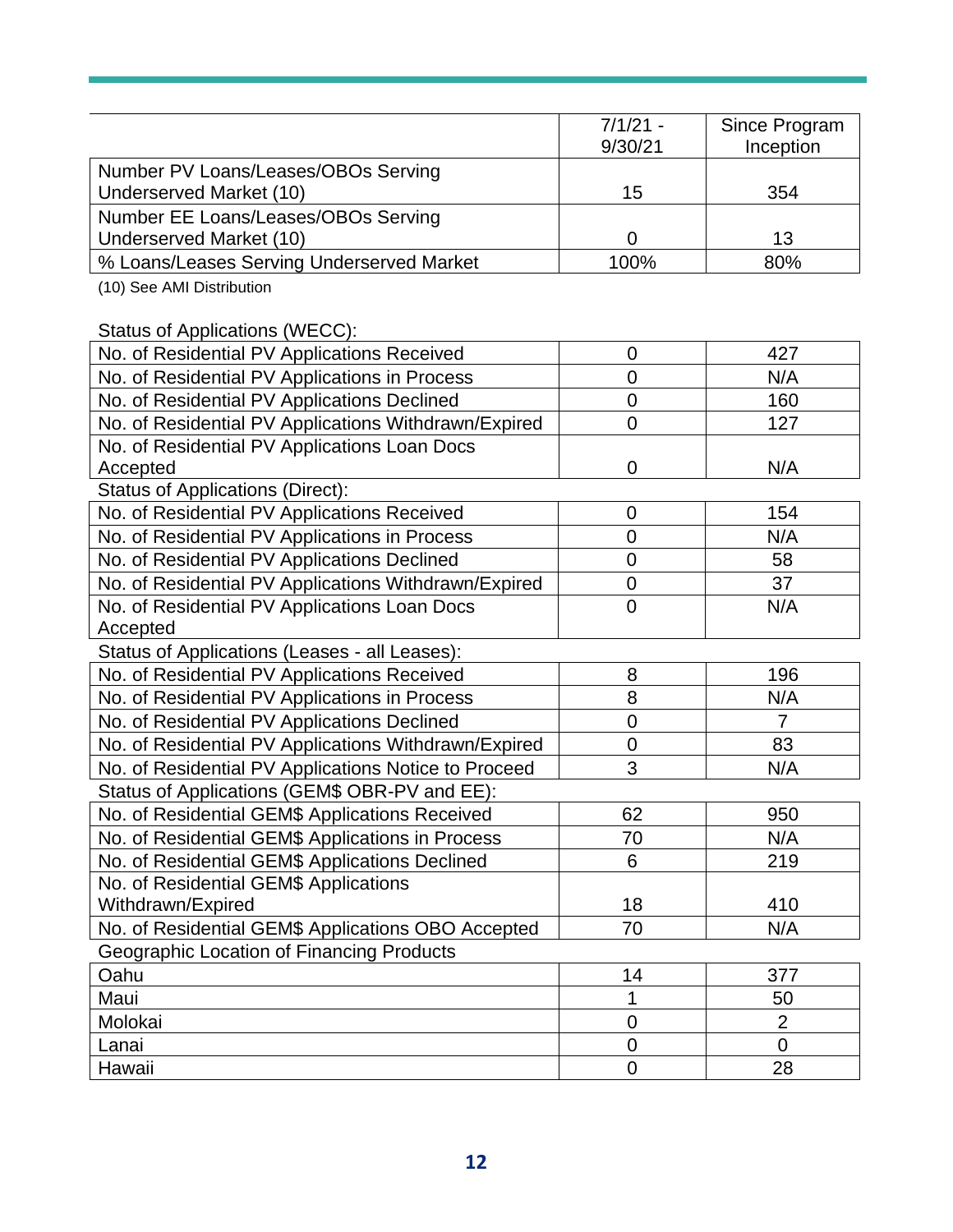|                                                                | $7/1/21 -$       |                            |
|----------------------------------------------------------------|------------------|----------------------------|
|                                                                | 9/30/21          | Since Program<br>Inception |
| Number PV Loans/Leases/OBOs Serving                            |                  |                            |
| Underserved Market (10)                                        | 15               | 354                        |
|                                                                |                  |                            |
| Number EE Loans/Leases/OBOs Serving<br>Underserved Market (10) | $\mathbf 0$      | 13                         |
| % Loans/Leases Serving Underserved Market                      | 100%             | 80%                        |
| (10) See AMI Distribution                                      |                  |                            |
|                                                                |                  |                            |
| Status of Applications (WECC):                                 |                  |                            |
| No. of Residential PV Applications Received                    | $\mathbf 0$      | 427                        |
| No. of Residential PV Applications in Process                  | 0                | N/A                        |
| No. of Residential PV Applications Declined                    | 0                | 160                        |
| No. of Residential PV Applications Withdrawn/Expired           | 0                | 127                        |
| No. of Residential PV Applications Loan Docs                   |                  |                            |
| Accepted                                                       | $\mathbf 0$      | N/A                        |
| <b>Status of Applications (Direct):</b>                        |                  |                            |
| No. of Residential PV Applications Received                    | $\mathbf 0$      | 154                        |
| No. of Residential PV Applications in Process                  | $\overline{0}$   | N/A                        |
| No. of Residential PV Applications Declined                    | $\mathbf 0$      | 58                         |
| No. of Residential PV Applications Withdrawn/Expired           | $\mathbf 0$      | 37                         |
| No. of Residential PV Applications Loan Docs                   | $\overline{0}$   | N/A                        |
| Accepted                                                       |                  |                            |
| Status of Applications (Leases - all Leases):                  |                  |                            |
| No. of Residential PV Applications Received                    | 8                | 196                        |
| No. of Residential PV Applications in Process                  | 8                | N/A                        |
| No. of Residential PV Applications Declined                    | $\overline{0}$   | $\overline{7}$             |
| No. of Residential PV Applications Withdrawn/Expired           | $\mathbf 0$      | 83                         |
| No. of Residential PV Applications Notice to Proceed           | 3                | N/A                        |
| Status of Applications (GEM\$ OBR-PV and EE):                  |                  |                            |
| No. of Residential GEM\$ Applications Received                 | 62               | 950                        |
| No. of Residential GEM\$ Applications in Process               | 70               | N/A                        |
| No. of Residential GEM\$ Applications Declined                 | 6                | 219                        |
| No. of Residential GEM\$ Applications                          |                  |                            |
| Withdrawn/Expired                                              | 18               | 410                        |
| No. of Residential GEM\$ Applications OBO Accepted             | 70               | N/A                        |
| Geographic Location of Financing Products                      |                  |                            |
| Oahu                                                           | 14               | 377                        |
| Maui                                                           | 1                | 50                         |
| Molokai                                                        | $\mathbf 0$      | $\overline{2}$             |
| Lanai                                                          | $\boldsymbol{0}$ | $\overline{0}$             |
| Hawaii                                                         | $\overline{0}$   | 28                         |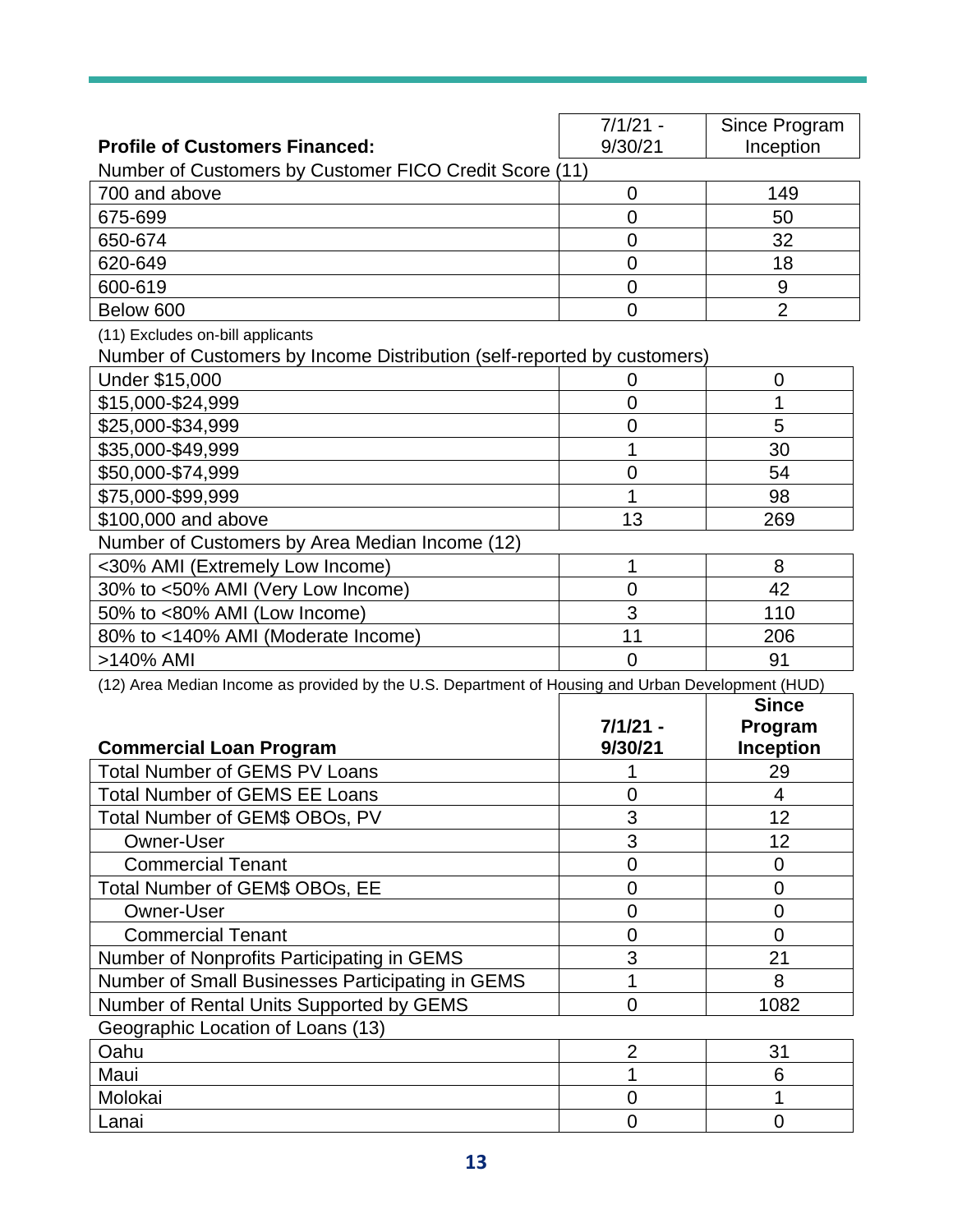|                                                                                                   | $7/1/21 -$     | Since Program    |
|---------------------------------------------------------------------------------------------------|----------------|------------------|
| <b>Profile of Customers Financed:</b>                                                             | 9/30/21        | Inception        |
| Number of Customers by Customer FICO Credit Score (11)                                            |                |                  |
| 700 and above                                                                                     | 0              | 149              |
| 675-699                                                                                           | $\overline{0}$ | 50               |
| 650-674                                                                                           | $\overline{0}$ | 32               |
| 620-649                                                                                           | $\overline{0}$ | 18               |
| 600-619                                                                                           | $\overline{0}$ | $9\,$            |
| Below 600                                                                                         | $\overline{0}$ | $\overline{2}$   |
| (11) Excludes on-bill applicants                                                                  |                |                  |
| Number of Customers by Income Distribution (self-reported by customers)                           |                |                  |
| Under \$15,000                                                                                    | 0              | 0                |
| \$15,000-\$24,999                                                                                 | $\overline{0}$ | 1                |
| \$25,000-\$34,999                                                                                 | $\overline{0}$ | 5                |
| \$35,000-\$49,999                                                                                 | 1              | 30               |
| \$50,000-\$74,999                                                                                 | $\overline{0}$ | 54               |
| \$75,000-\$99,999                                                                                 | 1              | 98               |
| \$100,000 and above                                                                               | 13             | 269              |
| Number of Customers by Area Median Income (12)                                                    |                |                  |
| <30% AMI (Extremely Low Income)                                                                   | 1              | 8                |
| 30% to <50% AMI (Very Low Income)                                                                 | $\overline{0}$ | 42               |
| 50% to <80% AMI (Low Income)                                                                      | 3              | 110              |
| 80% to <140% AMI (Moderate Income)                                                                | 11             | 206              |
| >140% AMI                                                                                         | $\Omega$       | 91               |
| (12) Area Median Income as provided by the U.S. Department of Housing and Urban Development (HUD) |                |                  |
|                                                                                                   |                | <b>Since</b>     |
|                                                                                                   | $7/1/21 -$     | Program          |
| <b>Commercial Loan Program</b>                                                                    | 9/30/21        | <b>Inception</b> |
| <b>Total Number of GEMS PV Loans</b>                                                              |                | 29               |
| <b>Total Number of GEMS EE Loans</b>                                                              | 0              | 4                |
| Total Number of GEM\$ OBOs, PV                                                                    | 3              | 12               |
| Owner-User                                                                                        | 3              | 12               |
| <b>Commercial Tenant</b>                                                                          | $\overline{0}$ | 0                |
| Total Number of GEM\$ OBOs, EE                                                                    | 0              | 0                |
| <b>Owner-User</b>                                                                                 | $\overline{0}$ | 0                |
| <b>Commercial Tenant</b>                                                                          | 0              | 0                |
| Number of Nonprofits Participating in GEMS                                                        | 3              | 21               |
| Number of Small Businesses Participating in GEMS                                                  | 1              | 8                |
| Number of Rental Units Supported by GEMS                                                          | $\overline{0}$ | 1082             |
| Geographic Location of Loans (13)                                                                 |                |                  |
| Oahu                                                                                              | $\overline{2}$ | 31               |
| Maui                                                                                              |                | 6                |
|                                                                                                   | $\overline{0}$ |                  |
| Molokai                                                                                           |                |                  |
| Lanai                                                                                             | $\Omega$       | $\mathbf 0$      |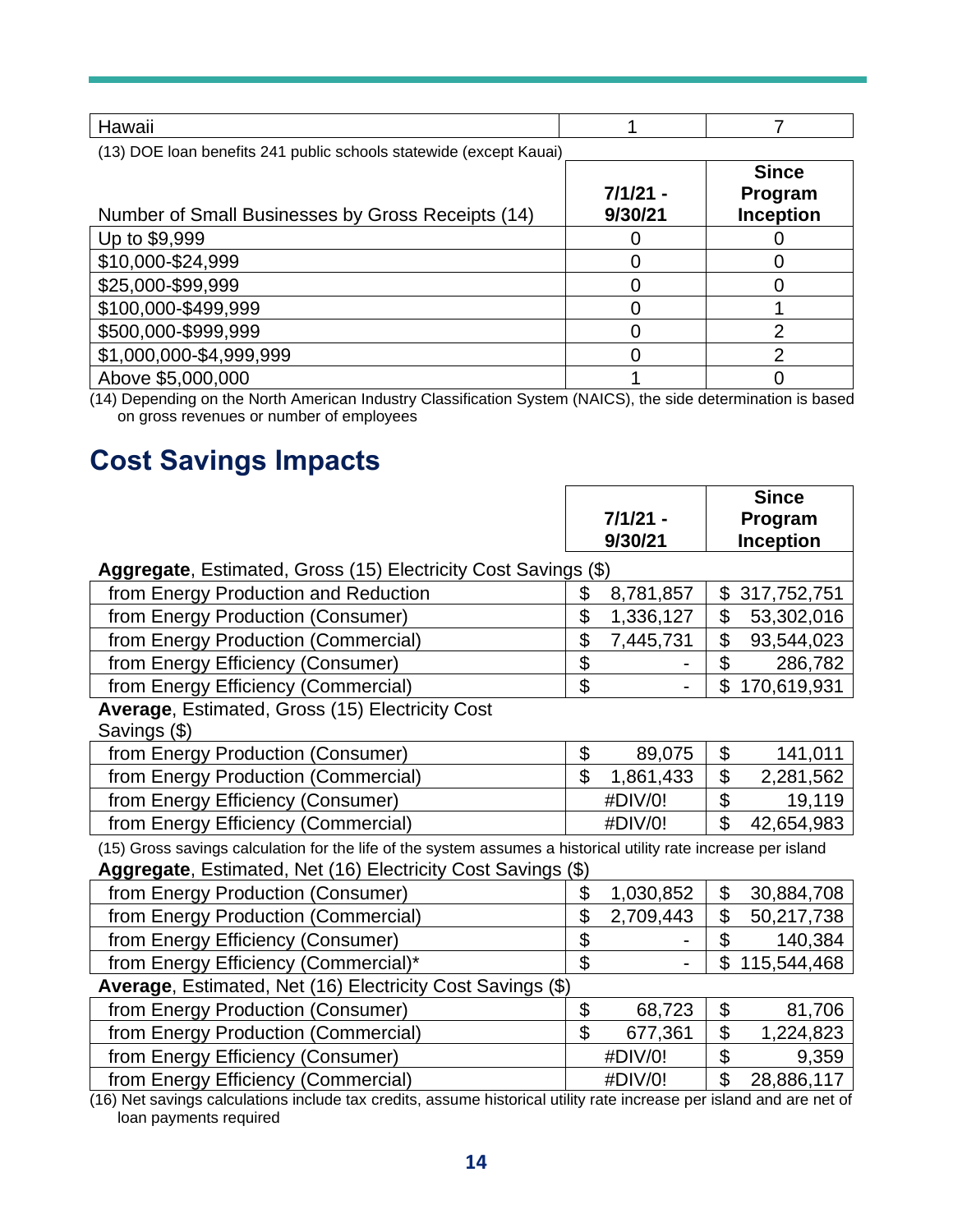| Hawaii                                                             |                       |                                             |
|--------------------------------------------------------------------|-----------------------|---------------------------------------------|
| (13) DOE loan benefits 241 public schools statewide (except Kauai) |                       |                                             |
| Number of Small Businesses by Gross Receipts (14)                  | $7/1/21 -$<br>9/30/21 | <b>Since</b><br>Program<br><b>Inception</b> |
| Up to \$9,999                                                      |                       |                                             |
| \$10,000-\$24,999                                                  |                       |                                             |
| \$25,000-\$99,999                                                  |                       |                                             |
| \$100,000-\$499,999                                                |                       |                                             |
| \$500,000-\$999,999                                                |                       | າ                                           |
| \$1,000,000-\$4,999,999                                            |                       | າ                                           |
| Above \$5,000,000                                                  |                       |                                             |

(14) Depending on the North American Industry Classification System (NAICS), the side determination is based on gross revenues or number of employees

### **Cost Savings Impacts**

|                                                                                                                 |                |            |                         | <b>Since</b>  |
|-----------------------------------------------------------------------------------------------------------------|----------------|------------|-------------------------|---------------|
|                                                                                                                 |                | $7/1/21 -$ |                         | Program       |
|                                                                                                                 |                | 9/30/21    |                         | Inception     |
| Aggregate, Estimated, Gross (15) Electricity Cost Savings (\$)                                                  |                |            |                         |               |
| from Energy Production and Reduction                                                                            | \$             | 8,781,857  |                         | \$317,752,751 |
| from Energy Production (Consumer)                                                                               | \$             | 1,336,127  | \$                      | 53,302,016    |
| from Energy Production (Commercial)                                                                             | \$             | 7,445,731  | \$                      | 93,544,023    |
| from Energy Efficiency (Consumer)                                                                               | \$             |            | $\mathfrak{S}$          | 286,782       |
| from Energy Efficiency (Commercial)                                                                             | \$             |            | \$                      | 170,619,931   |
| Average, Estimated, Gross (15) Electricity Cost                                                                 |                |            |                         |               |
| Savings (\$)                                                                                                    |                |            |                         |               |
| from Energy Production (Consumer)                                                                               | \$             | 89,075     | \$                      | 141,011       |
| from Energy Production (Commercial)                                                                             | $\mathfrak{S}$ | 1,861,433  | \$                      | 2,281,562     |
| from Energy Efficiency (Consumer)                                                                               |                | #DIV/0!    | $\overline{\mathbf{S}}$ | 19,119        |
| from Energy Efficiency (Commercial)                                                                             |                | #DIV/0!    | \$                      | 42,654,983    |
| (15) Gross savings calculation for the life of the system assumes a historical utility rate increase per island |                |            |                         |               |
| Aggregate, Estimated, Net (16) Electricity Cost Savings (\$)                                                    |                |            |                         |               |
| from Energy Production (Consumer)                                                                               | \$             | 1,030,852  | \$                      | 30,884,708    |
| from Energy Production (Commercial)                                                                             | \$             | 2,709,443  | \$                      | 50,217,738    |
| from Energy Efficiency (Consumer)                                                                               | \$             |            | $\mathfrak{S}$          | 140,384       |
| from Energy Efficiency (Commercial)*                                                                            | \$             |            | \$                      | 115,544,468   |
| Average, Estimated, Net (16) Electricity Cost Savings (\$)                                                      |                |            |                         |               |
| from Energy Production (Consumer)                                                                               | \$             | 68,723     | \$                      | 81,706        |
| from Energy Production (Commercial)                                                                             | \$             | 677,361    | \$                      | 1,224,823     |
| from Energy Efficiency (Consumer)                                                                               |                | #DIV/0!    | \$                      | 9,359         |
| from Energy Efficiency (Commercial)                                                                             |                | #DIV/0!    | \$                      | 28,886,117    |

(16) Net savings calculations include tax credits, assume historical utility rate increase per island and are net of loan payments required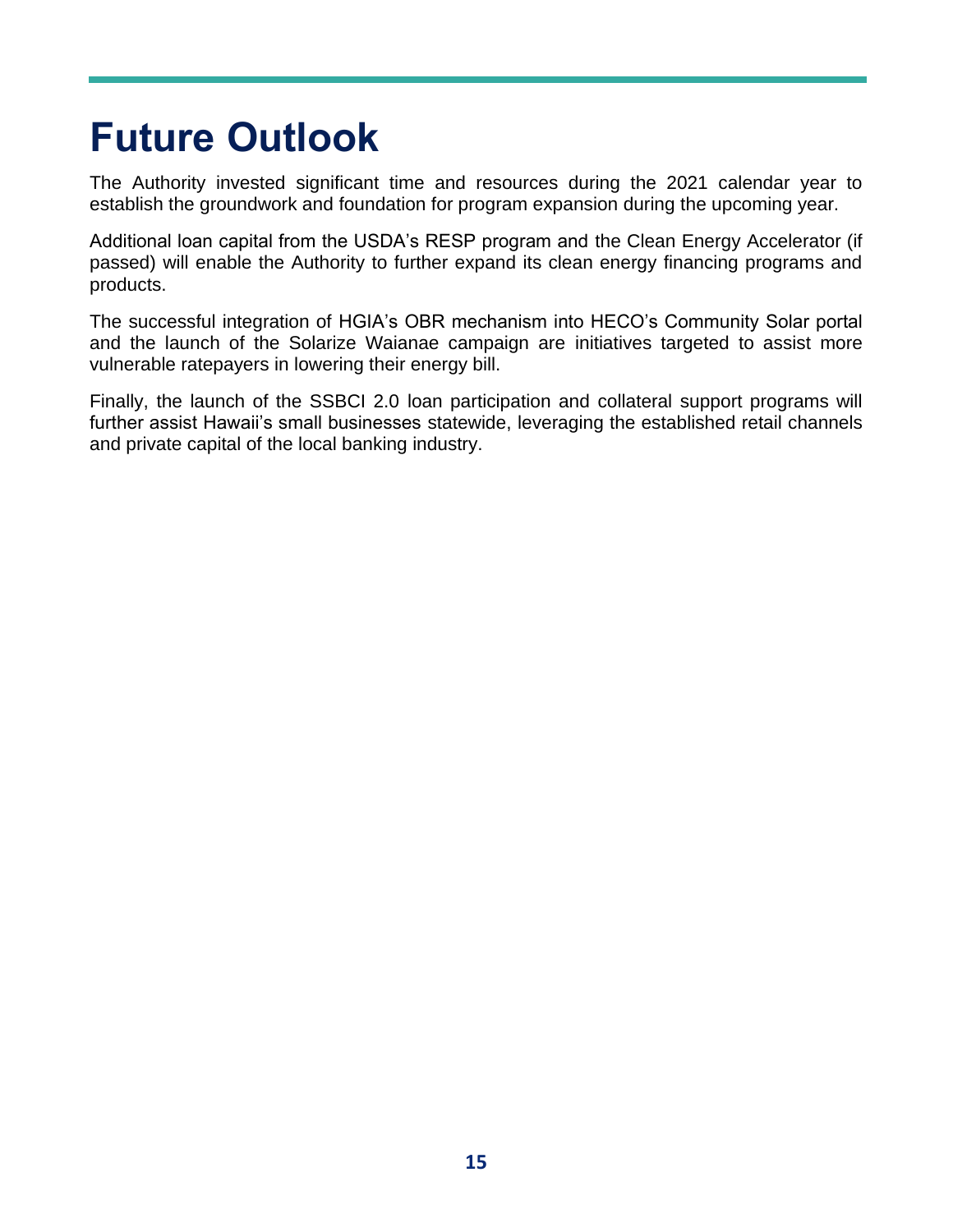## **Future Outlook**

The Authority invested significant time and resources during the 2021 calendar year to establish the groundwork and foundation for program expansion during the upcoming year.

Additional loan capital from the USDA's RESP program and the Clean Energy Accelerator (if passed) will enable the Authority to further expand its clean energy financing programs and products.

The successful integration of HGIA's OBR mechanism into HECO's Community Solar portal and the launch of the Solarize Waianae campaign are initiatives targeted to assist more vulnerable ratepayers in lowering their energy bill.

Finally, the launch of the SSBCI 2.0 loan participation and collateral support programs will further assist Hawaii's small businesses statewide, leveraging the established retail channels and private capital of the local banking industry.